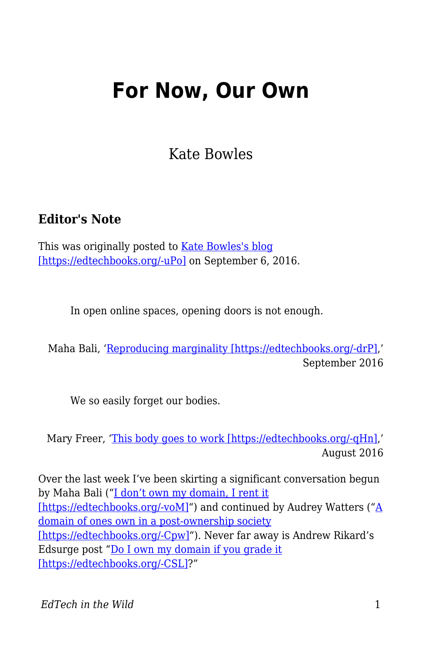## **For Now, Our Own**

Kate Bowles

## **Editor's Note**

This was originally posted to [Kate Bowles's blog](http://musicfordeckchairs.com/blog/2016/09/06/for-now-our-own/) [\[https://edtechbooks.org/-uPo\]](http://musicfordeckchairs.com/blog/2016/09/06/for-now-our-own/) on September 6, 2016.

In open online spaces, opening doors is not enough.

Maha Bali, '[Reproducing marginality \[https://edtechbooks.org/-drP\]](http://blog.mahabali.me/blog/pedagogy/critical-pedagogy/reproducing-marginality/),' September 2016

We so easily forget our bodies.

Mary Freer, '[This body goes to work \[https://edtechbooks.org/-qHn\]](http://freerthinking.com.au/this-body-goes-to-work/),' August 2016

Over the last week I've been skirting a significant conversation begun by Maha Bali ("[I don't own my domain, I rent it](http://blog.mahabali.me/blog/educational-technology-2/i-dont-own-my-domain-i-rent-it-dooo/#comment-49494) [\[https://edtechbooks.org/-voM\]](http://blog.mahabali.me/blog/educational-technology-2/i-dont-own-my-domain-i-rent-it-dooo/#comment-49494)") and continued by [A](http://hackeducation.com/2016/08/23/domains)udrey Watters ("A [domain of ones own in a post-ownership society](http://hackeducation.com/2016/08/23/domains) [\[https://edtechbooks.org/-Cpw\]"](http://hackeducation.com/2016/08/23/domains)). Never far away is Andrew Rikard's Edsurge post "[Do I own my domain if you grade it](https://www.edsurge.com/news/2015-08-10-do-i-own-my-domain-if-you-grade-it) [\[https://edtechbooks.org/-CSL\]](https://www.edsurge.com/news/2015-08-10-do-i-own-my-domain-if-you-grade-it)?"

*EdTech in the Wild* 1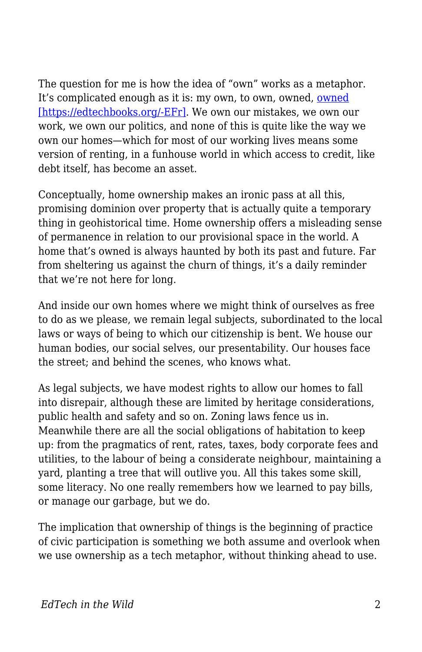The question for me is how the idea of "own" works as a metaphor. It's complicated enough as it is: my own, to own, [owned](http://www.urbandictionary.com/define.php?term=pwned), owned [\[https://edtechbooks.org/-EFr\].](http://www.urbandictionary.com/define.php?term=pwned) We own our mistakes, we own our work, we own our politics, and none of this is quite like the way we own our homes—which for most of our working lives means some version of renting, in a funhouse world in which access to credit, like debt itself, has become an asset.

Conceptually, home ownership makes an ironic pass at all this, promising dominion over property that is actually quite a temporary thing in geohistorical time. Home ownership offers a misleading sense of permanence in relation to our provisional space in the world. A home that's owned is always haunted by both its past and future. Far from sheltering us against the churn of things, it's a daily reminder that we're not here for long.

And inside our own homes where we might think of ourselves as free to do as we please, we remain legal subjects, subordinated to the local laws or ways of being to which our citizenship is bent. We house our human bodies, our social selves, our presentability. Our houses face the street; and behind the scenes, who knows what.

As legal subjects, we have modest rights to allow our homes to fall into disrepair, although these are limited by heritage considerations, public health and safety and so on. Zoning laws fence us in. Meanwhile there are all the social obligations of habitation to keep up: from the pragmatics of rent, rates, taxes, body corporate fees and utilities, to the labour of being a considerate neighbour, maintaining a yard, planting a tree that will outlive you. All this takes some skill, some literacy. No one really remembers how we learned to pay bills, or manage our garbage, but we do.

The implication that ownership of things is the beginning of practice of civic participation is something we both assume and overlook when we use ownership as a tech metaphor, without thinking ahead to use.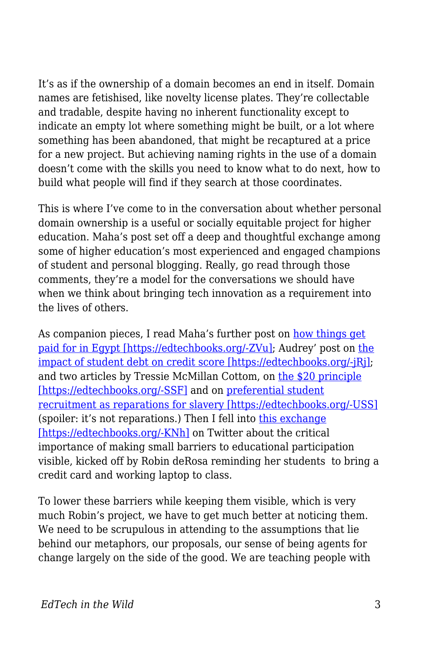It's as if the ownership of a domain becomes an end in itself. Domain names are fetishised, like novelty license plates. They're collectable and tradable, despite having no inherent functionality except to indicate an empty lot where something might be built, or a lot where something has been abandoned, that might be recaptured at a price for a new project. But achieving naming rights in the use of a domain doesn't come with the skills you need to know what to do next, how to build what people will find if they search at those coordinates.

This is where I've come to in the conversation about whether personal domain ownership is a useful or socially equitable project for higher education. Maha's post set off a deep and thoughtful exchange among some of higher education's most experienced and engaged champions of student and personal blogging. Really, go read through those comments, they're a model for the conversations we should have when we think about bringing tech innovation as a requirement into the lives of others.

As companion pieces, I read Maha's further post on [how things get](http://blog.mahabali.me/blog/just-for-fun/how-the-money-flows-or-not/) [paid for in Egypt \[https://edtechbooks.org/-ZVu\];](http://blog.mahabali.me/blog/just-for-fun/how-the-money-flows-or-not/) Audrey' post on [the](http://audreywatters.com/2016/09/04/credit-score) [impact of student debt on credit score \[https://edtechbooks.org/-jRj\];](http://audreywatters.com/2016/09/04/credit-score) and two articles by Tressie McMillan Cottom, on [the \\$20 principle](https://tressiemc.com/2016/08/30/the-20-principle/) [\[https://edtechbooks.org/-SSF\]](https://tressiemc.com/2016/08/30/the-20-principle/) and on [preferential student](http://www.vox.com/2016/9/2/12773110/georgetown-slavery-admission-reparations) [recruitment as reparations for slavery \[https://edtechbooks.org/-USS\]](http://www.vox.com/2016/9/2/12773110/georgetown-slavery-admission-reparations) (spoiler: it's not reparations.) Then I fell into [this exchange](https://twitter.com/KateMfD/status/772955899384037377) [\[https://edtechbooks.org/-KNh\]](https://twitter.com/KateMfD/status/772955899384037377) on Twitter about the critical importance of making small barriers to educational participation visible, kicked off by Robin deRosa reminding her students to bring a credit card and working laptop to class.

To lower these barriers while keeping them visible, which is very much Robin's project, we have to get much better at noticing them. We need to be scrupulous in attending to the assumptions that lie behind our metaphors, our proposals, our sense of being agents for change largely on the side of the good. We are teaching people with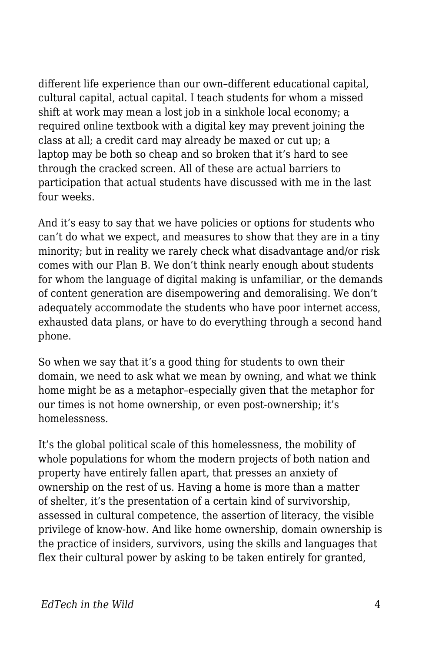different life experience than our own–different educational capital, cultural capital, actual capital. I teach students for whom a missed shift at work may mean a lost job in a sinkhole local economy; a required online textbook with a digital key may prevent joining the class at all; a credit card may already be maxed or cut up; a laptop may be both so cheap and so broken that it's hard to see through the cracked screen. All of these are actual barriers to participation that actual students have discussed with me in the last four weeks.

And it's easy to say that we have policies or options for students who can't do what we expect, and measures to show that they are in a tiny minority; but in reality we rarely check what disadvantage and/or risk comes with our Plan B. We don't think nearly enough about students for whom the language of digital making is unfamiliar, or the demands of content generation are disempowering and demoralising. We don't adequately accommodate the students who have poor internet access, exhausted data plans, or have to do everything through a second hand phone.

So when we say that it's a good thing for students to own their domain, we need to ask what we mean by owning, and what we think home might be as a metaphor–especially given that the metaphor for our times is not home ownership, or even post-ownership; it's homelessness.

It's the global political scale of this homelessness, the mobility of whole populations for whom the modern projects of both nation and property have entirely fallen apart, that presses an anxiety of ownership on the rest of us. Having a home is more than a matter of shelter, it's the presentation of a certain kind of survivorship, assessed in cultural competence, the assertion of literacy, the visible privilege of know-how. And like home ownership, domain ownership is the practice of insiders, survivors, using the skills and languages that flex their cultural power by asking to be taken entirely for granted,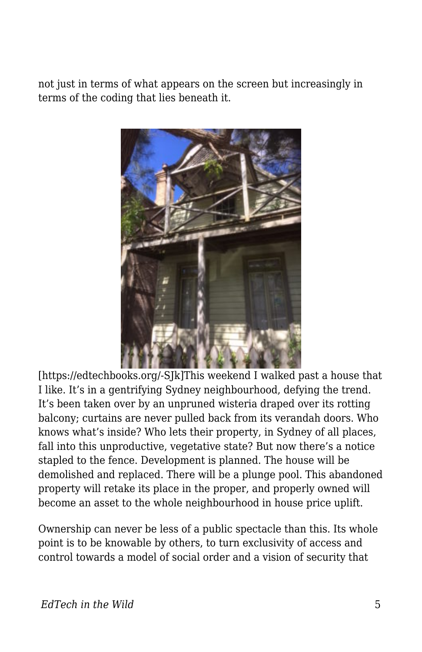not just in terms of what appears on the screen but increasingly in terms of the coding that lies beneath it.



[https://edtechbooks.org/-SJk]This weekend I walked past a house that I like. It's in a gentrifying Sydney neighbourhood, defying the trend. It's been taken over by an unpruned wisteria draped over its rotting balcony; curtains are never pulled back from its verandah doors. Who knows what's inside? Who lets their property, in Sydney of all places, fall into this unproductive, vegetative state? But now there's a notice stapled to the fence. Development is planned. The house will be demolished and replaced. There will be a plunge pool. This abandoned property will retake its place in the proper, and properly owned will become an asset to the whole neighbourhood in house price uplift.

Ownership can never be less of a public spectacle than this. Its whole point is to be knowable by others, to turn exclusivity of access and control towards a model of social order and a vision of security that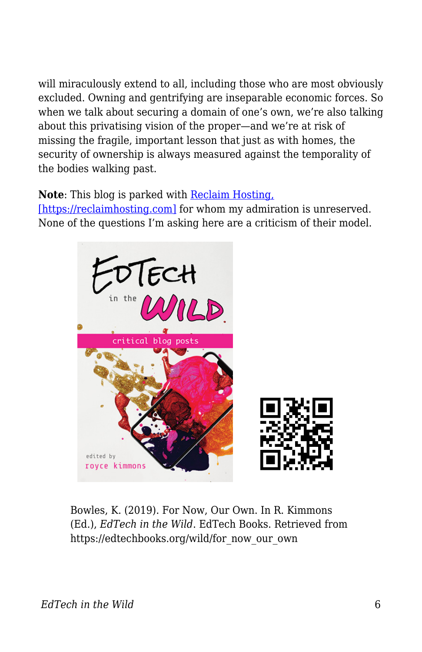will miraculously extend to all, including those who are most obviously excluded. Owning and gentrifying are inseparable economic forces. So when we talk about securing a domain of one's own, we're also talking about this privatising vision of the proper—and we're at risk of missing the fragile, important lesson that just as with homes, the security of ownership is always measured against the temporality of the bodies walking past.

**Note**: This blog is parked with [Reclaim Hosting,](https://reclaimhosting.com)

[\[https://reclaimhosting.com\]](https://reclaimhosting.com) for whom my admiration is unreserved. None of the questions I'm asking here are a criticism of their model.



Bowles, K. (2019). For Now, Our Own. In R. Kimmons (Ed.), *EdTech in the Wild*. EdTech Books. Retrieved from https://edtechbooks.org/wild/for\_now\_our\_own